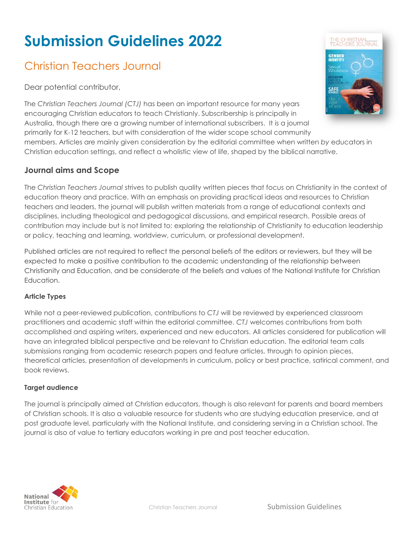# **Submission Guidelines 2022**

# Christian Teachers Journal

Dear potential contributor,

The *Christian Teachers Journal (CTJ)* has been an important resource for many years encouraging Christian educators to teach Christianly. Subscribership is principally in Australia, though there are a growing number of international subscribers.It is a journal primarily for K-12 teachers, but with consideration of the wider scope school community members. Articles are mainly given consideration by the editorial committee when written *by* educators in Christian education settings, and reflect a wholistic view of life, shaped by the biblical narrative.

# **Journal aims and Scope**

The *Christian Teachers Journal* strives to publish quality written pieces that focus on Christianity in the context of education theory and practice. With an emphasis on providing practical ideas and resources to Christian teachers and leaders, the journal will publish written materials from a range of educational contexts and disciplines, including theological and pedagogical discussions, and empirical research. Possible areas of contribution may include but is not limited to: exploring the relationship of Christianity to education leadership or policy, teaching and learning, worldview, curriculum, or professional development.

Published articles are not required to reflect the personal beliefs of the editors or reviewers, but they will be expected to make a positive contribution to the academic understanding of the relationship between Christianity and Education, and be considerate of the beliefs and values of the National Institute for Christian Education.

#### **Article Types**

While not a peer-reviewed publication, contributions to *CTJ* will be reviewed by experienced classroom practitioners and academic staff within the editorial committee. *CTJ* welcomes contributions from both accomplished and aspiring writers, experienced and new educators. All articles considered for publication will have an integrated biblical perspective and be relevant to Christian education. The editorial team calls submissions ranging from academic research papers and feature articles, through to opinion pieces, theoretical articles, presentation of developments in curriculum, policy or best practice, satirical comment, and book reviews.

#### **Target audience**

The journal is principally aimed at Christian educators, though is also relevant for parents and board members of Christian schools. It is also a valuable resource for students who are studying education preservice, and at post graduate level, particularly with the National Institute, and considering serving in a Christian school. The journal is also of value to tertiary educators working in pre and post teacher education.



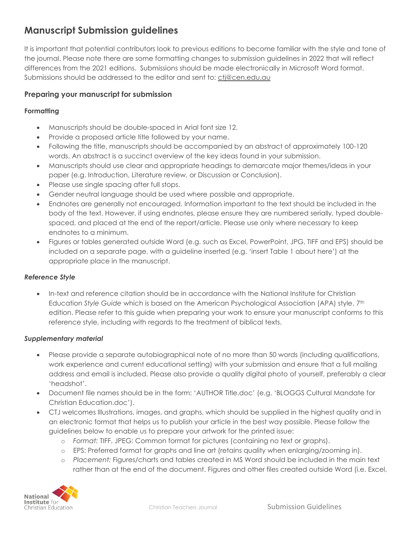# **Manuscript Submission guidelines**

It is important that potential contributors look to previous editions to become familiar with the style and tone of the journal. Please note there are some formatting changes to submission guidelines in 2022 that will reflect differences from the 2021 editions. Submissions should be made electronically in Microsoft Word format. Submissions should be addressed to the editor and sent to: [ctj@cen.edu.au](mailto:ctj@cen.edu.au)

## **Preparing your manuscript for submission**

#### **Formatting**

- Manuscripts should be double-spaced in Arial font size 12.
- Provide a proposed article title followed by your name.
- Following the title, manuscripts should be accompanied by an abstract of approximately 100-120 words. An abstract is a succinct overview of the key ideas found in your submission.
- Manuscripts should use clear and appropriate headings to demarcate major themes/ideas in your paper (e.g. Introduction, Literature review, or Discussion or Conclusion).
- Please use single spacing after full stops.
- Gender neutral language should be used where possible and appropriate.
- Endnotes are generally not encouraged. Information important to the text should be included in the body of the text. However, if using endnotes, please ensure they are numbered serially, typed doublespaced, and placed at the end of the report/article. Please use only where necessary to keep endnotes to a minimum.
- Figures or tables generated outside Word (e.g. such as Excel, PowerPoint, JPG, TIFF and EPS) should be included on a separate page, with a guideline inserted (e.g. 'insert Table 1 about here') at the appropriate place in the manuscript.

#### *Reference Style*

• In-text and reference citation should be in accordance with the National Institute for Christian Education *Style Guide* which is based on the American Psychological Association (APA) style, 7th edition. Please refer to this guide when preparing your work to ensure your manuscript conforms to this reference style, including with regards to the treatment of biblical texts.

#### *Supplementary material*

- Please provide a separate autobiographical note of no more than 50 words (including qualifications, work experience and current educational setting) with your submission and ensure that a full mailing address and email is included. Please also provide a quality digital photo of yourself, preferably a clear 'headshot'.
- Document file names should be in the form: 'AUTHOR Title.doc' (e.g. 'BLOGGS Cultural Mandate for Christian Education.doc').
- CTJ welcomes Illustrations, images, and graphs, which should be supplied in the highest quality and in an electronic format that helps us to publish your article in the best way possible. Please follow the guidelines below to enable us to prepare your artwork for the printed issue:
	- o *Format:* TIFF, JPEG: Common format for pictures (containing no text or graphs).
	- o EPS: Preferred format for graphs and line art (retains quality when enlarging/zooming in).
	- o *Placement:* Figures/charts and tables created in MS Word should be included in the main text rather than at the end of the document. Figures and other files created outside Word (i.e. Excel,

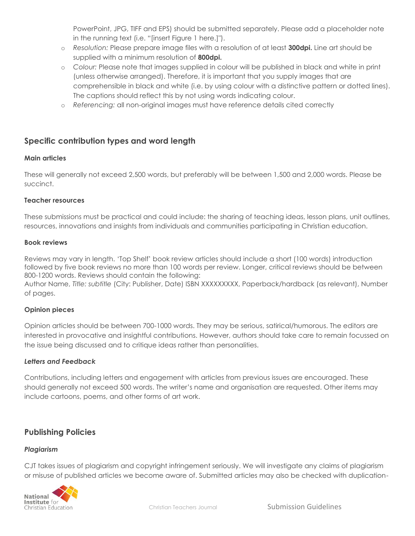PowerPoint, JPG, TIFF and EPS) should be submitted separately. Please add a placeholder note in the running text (i.e. "[insert Figure 1 here.]").

- o *Resolution:* Please prepare image files with a resolution of at least **300dpi.** Line art should be supplied with a minimum resolution of **800dpi.**
- o *Colour:* Please note that images supplied in colour will be published in black and white in print (unless otherwise arranged). Therefore, it is important that you supply images that are comprehensible in black and white (i.e. by using colour with a distinctive pattern or dotted lines). The captions should reflect this by not using words indicating colour.
- o *Referencing:* all non-original images must have reference details cited correctly

# **Specific contribution types and word length**

#### **Main articles**

These will generally not exceed 2,500 words, but preferably will be between 1,500 and 2,000 words. Please be succinct.

#### **Teacher resources**

These submissions must be practical and could include: the sharing of teaching ideas, lesson plans, unit outlines, resources, innovations and insights from individuals and communities participating in Christian education.

#### **Book reviews**

Reviews may vary in length. 'Top Shelf' book review articles should include a short (100 words) introduction followed by five book reviews no more than 100 words per review. Longer, critical reviews should be between 800-1200 words. Reviews should contain the following:

Author Name, *Title: subtitle* (City: Publisher, Date) ISBN XXXXXXXXX, Paperback/hardback (as relevant), Number of pages.

#### **Opinion pieces**

Opinion articles should be between 700-1000 words. They may be serious, satirical/humorous. The editors are interested in provocative and insightful contributions. However, authors should take care to remain focussed on the issue being discussed and to critique ideas rather than personalities.

#### *Letters and Feedback*

Contributions, including letters and engagement with articles from previous issues are encouraged. These should generally not exceed 500 words. The writer's name and organisation are requested. Other items may include cartoons, poems, and other forms of art work.

# **Publishing Policies**

#### *Plagiarism*

CJT takes issues of plagiarism and copyright infringement seriously. We will investigate any claims of plagiarism or misuse of published articles we become aware of. Submitted articles may also be checked with duplication-